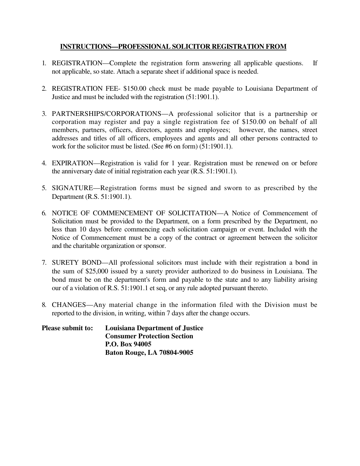## **INSTRUCTIONS—PROFESSIONAL SOLICITOR REGISTRATION FROM**

- 1. REGISTRATION—Complete the registration form answering all applicable questions. If not applicable, so state. Attach a separate sheet if additional space is needed.
- 2. REGISTRATION FEE- \$150.00 check must be made payable to Louisiana Department of Justice and must be included with the registration (51:1901.1).
- 3. PARTNERSHIPS/CORPORATIONS—A professional solicitor that is a partnership or corporation may register and pay a single registration fee of \$150.00 on behalf of all members, partners, officers, directors, agents and employees; however, the names, street addresses and titles of all officers, employees and agents and all other persons contracted to work for the solicitor must be listed. (See #6 on form) (51:1901.1).
- 4. EXPIRATION—Registration is valid for 1 year. Registration must be renewed on or before the anniversary date of initial registration each year (R.S. 51:1901.1).
- 5. SIGNATURE—Registration forms must be signed and sworn to as prescribed by the Department (R.S. 51:1901.1).
- 6. NOTICE OF COMMENCEMENT OF SOLICITATION—A Notice of Commencement of Solicitation must be provided to the Department, on a form prescribed by the Department, no less than 10 days before commencing each solicitation campaign or event. Included with the Notice of Commencement must be a copy of the contract or agreement between the solicitor and the charitable organization or sponsor.
- 7. SURETY BOND—All professional solicitors must include with their registration a bond in the sum of \$25,000 issued by a surety provider authorized to do business in Louisiana. The bond must be on the department's form and payable to the state and to any liability arising our of a violation of R.S. 51:1901.1 et seq, or any rule adopted pursuant thereto.
- 8. CHANGES—Any material change in the information filed with the Division must be reported to the division, in writing, within 7 days after the change occurs.

| <b>Please submit to:</b> | <b>Louisiana Department of Justice</b> |
|--------------------------|----------------------------------------|
|                          | <b>Consumer Protection Section</b>     |
|                          | P.O. Box 94005                         |
|                          | <b>Baton Rouge, LA 70804-9005</b>      |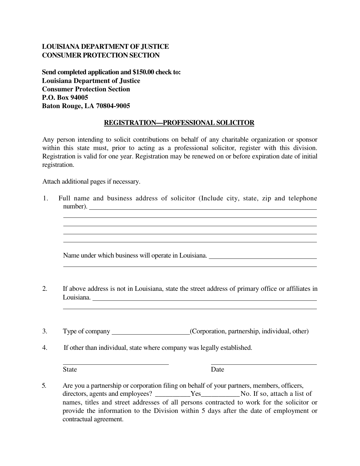## **LOUISIANA DEPARTMENT OF JUSTICE CONSUMER PROTECTION SECTION**

**Send completed application and \$150.00 check to: Louisiana Department of Justice Consumer Protection Section P.O. Box 94005 Baton Rouge, LA 70804-9005**

## **REGISTRATION—PROFESSIONAL SOLICITOR**

Any person intending to solicit contributions on behalf of any charitable organization or sponsor within this state must, prior to acting as a professional solicitor, register with this division. Registration is valid for one year. Registration may be renewed on or before expiration date of initial registration.

Attach additional pages if necessary.

| ,我们也不会有什么。""我们的人,我们也不会有什么?""我们的人,我们也不会有什么?""我们的人,我们也不会有什么?""我们的人,我们也不会有什么?""我们的人                                |
|-----------------------------------------------------------------------------------------------------------------|
| ,我们也不会有什么。""我们的人,我们也不会有什么?""我们的人,我们也不会有什么?""我们的人,我们也不会有什么?""我们的人,我们也不会有什么?""我们的人                                |
| Name under which business will operate in Louisiana.                                                            |
|                                                                                                                 |
| If above address is not in Louisiana, state the street address of primary office or affiliates in<br>Louisiana. |
|                                                                                                                 |
| If other than individual, state where company was legally established.                                          |

names, titles and street addresses of all persons contracted to work for the solicitor or provide the information to the Division within 5 days after the date of employment or contractual agreement.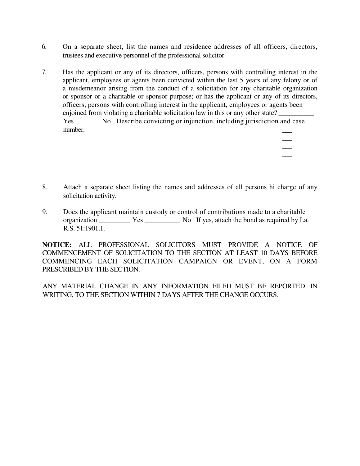- 6. On a separate sheet, list the names and residence addresses of all officers, directors, trustees and executive personnel of the professional solicitor.
- 7. Has the applicant or any of its directors, officers, persons with controlling interest in the applicant, employees or agents been convicted within the last 5 years of any felony or of a misdemeanor arising from the conduct of a solicitation for any charitable organization or sponsor or a charitable or sponsor purpose; or has the applicant or any of its directors, officers, persons with controlling interest in the applicant, employees or agents been enjoined from violating a charitable solicitation law in this or any other state? Yes\_\_\_\_\_\_\_ No Describe convicting or injunction, including jurisdiction and case number.  $\overline{\phantom{a}}$
- 8. Attach a separate sheet listing the names and addresses of all persons hi charge of any solicitation activity.

 $\overline{\phantom{a}}$  $\overline{\phantom{a}}$ 

9. Does the applicant maintain custody or control of contributions made to a charitable organization \_\_\_\_\_\_\_\_\_ Yes \_\_\_\_\_\_\_\_\_\_ No If yes, attach the bond as required by La. R.S. 51:1901.1.

**NOTICE:** ALL PROFESSIONAL SOLICITORS MUST PROVIDE A NOTICE OF COMMENCEMENT OF SOLICITATION TO THE SECTION AT LEAST 10 DAYS BEFORE COMMENCING EACH SOLICITATION CAMPAIGN OR EVENT, ON A FORM PRESCRIBED BY THE SECTION.

ANY MATERIAL CHANGE IN ANY INFORMATION FILED MUST BE REPORTED, IN WRITING, TO THE SECTION WITHIN 7 DAYS AFTER THE CHANGE OCCURS.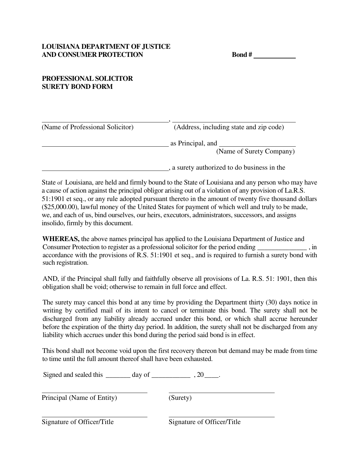## **PROFESSIONAL SOLICITOR SURETY BOND FORM**

| (Name of Professional Solicitor) | (Address, including state and zip code)       |
|----------------------------------|-----------------------------------------------|
|                                  | as Principal, and<br>(Name of Surety Company) |
|                                  | , a surety authorized to do business in the   |

State of Louisiana, are held and firmly bound to the State of Louisiana and any person who may have a cause of action against the principal obligor arising out of a violation of any provision of La.R.S. 51:1901 et seq., or any rule adopted pursuant thereto in the amount of twenty five thousand dollars (\$25,000.00), lawful money of the United States for payment of which well and truly to be made, we, and each of us, bind ourselves, our heirs, executors, administrators, successors, and assigns insolido, firmly by this document.

**WHEREAS,** the above names principal has applied to the Louisiana Department of Justice and Consumer Protection to register as a professional solicitor for the period ending \_\_\_\_\_\_\_\_\_\_\_\_\_\_ , in accordance with the provisions of R.S. 51:1901 et seq., and is required to furnish a surety bond with such registration.

AND, if the Principal shall fully and faithfully observe all provisions of La. R.S. 51: 1901, then this obligation shall be void; otherwise to remain in full force and effect.

The surety may cancel this bond at any time by providing the Department thirty (30) days notice in writing by certified mail of its intent to cancel or terminate this bond. The surety shall not be discharged from any liability already accrued under this bond, or which shall accrue hereunder before the expiration of the thirty day period. In addition, the surety shall not be discharged from any liability which accrues under this bond during the period said bond is in effect.

This bond shall not become void upon the first recovery thereon but demand may be made from time to time until the full amount thereof shall have been exhausted.

Signed and sealed this \_\_\_\_\_\_\_ day of \_\_\_\_\_\_\_\_\_\_\_\_\_\_\_\_\_\_\_, 20 \_\_\_\_\_.

Principal (Name of Entity) (Surety)

Signature of Officer/Title Signature of Officer/Title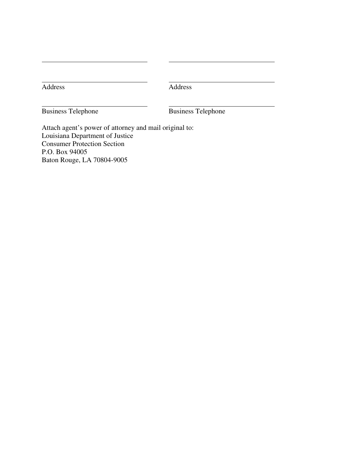Address

Business Telephone Business Telephone

Attach agent's power of attorney and mail original to: Louisiana Department of Justice Consumer Protection Section P.O. Box 94005 Baton Rouge, LA 70804-9005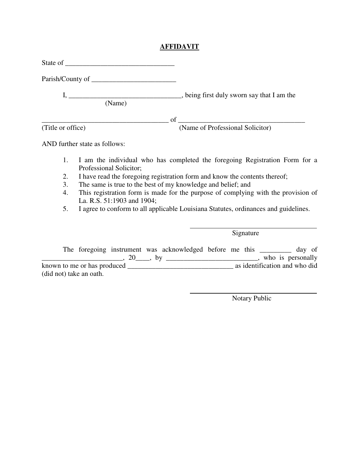## **AFFIDAVIT**

| (Name)                        |                                                                             |
|-------------------------------|-----------------------------------------------------------------------------|
|                               |                                                                             |
| (Title or office)             | (Name of Professional Solicitor)                                            |
| AND further state as follows: |                                                                             |
| 1.                            | I am the individual who has completed the foregoing Registration Form for a |

- Professional Solicitor;
- 2. I have read the foregoing registration form and know the contents thereof;
- 3. The same is true to the best of my knowledge and belief; and
- 4. This registration form is made for the purpose of complying with the provision of La. R.S. 51:1903 and 1904;
- 5. I agree to conform to all applicable Louisiana Statutes, ordinances and guidelines.

Signature

|                             |        | The foregoing instrument was acknowledged before me this |  |  | day of                        |
|-----------------------------|--------|----------------------------------------------------------|--|--|-------------------------------|
|                             | 20, by |                                                          |  |  | who is personally             |
| known to me or has produced |        |                                                          |  |  | as identification and who did |
| (did not) take an oath.     |        |                                                          |  |  |                               |

Notary Public